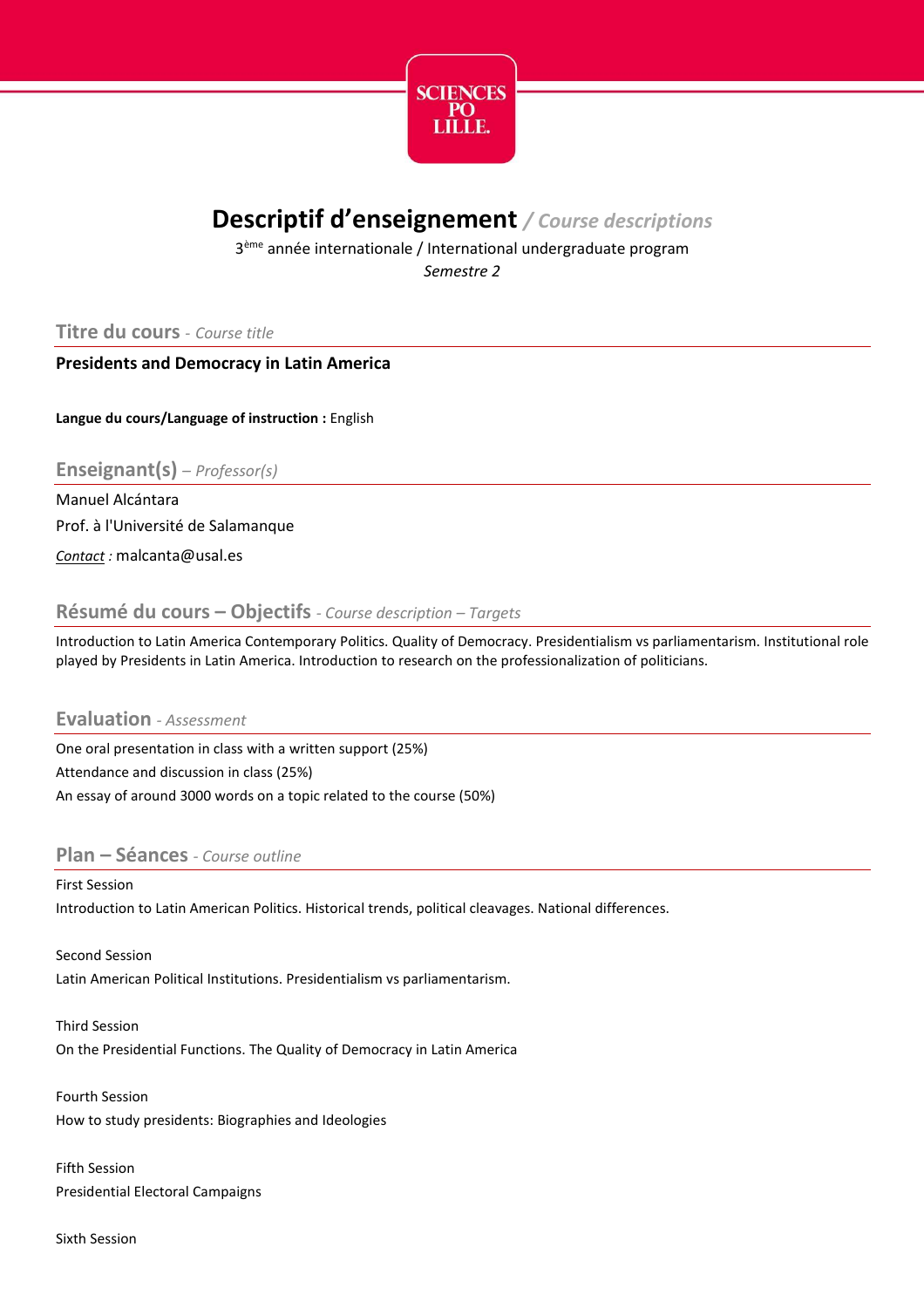

# **Descriptif d'enseignement** */ Course descriptions*

3<sup>ème</sup> année internationale / International undergraduate program *Semestre 2*

## **Titre du cours** *- Course title*

### **Presidents and Democracy in Latin America**

**Langue du cours/Language of instruction :** English

**Enseignant(s)** *– Professor(s)*

Manuel Alcántara Prof. à l'Université de Salamanque

*Contact :* malcanta@usal.es

### **Résumé du cours – Objectifs** *- Course description – Targets*

Introduction to Latin America Contemporary Politics. Quality of Democracy. Presidentialism vs parliamentarism. Institutional role played by Presidents in Latin America. Introduction to research on the professionalization of politicians.

#### **Evaluation** *- Assessment*

One oral presentation in class with a written support (25%) Attendance and discussion in class (25%) An essay of around 3000 words on a topic related to the course (50%)

### **Plan – Séances** *- Course outline*

First Session Introduction to Latin American Politics. Historical trends, political cleavages. National differences.

Second Session Latin American Political Institutions. Presidentialism vs parliamentarism.

Third Session On the Presidential Functions. The Quality of Democracy in Latin America

Fourth Session How to study presidents: Biographies and Ideologies

Fifth Session Presidential Electoral Campaigns

Sixth Session